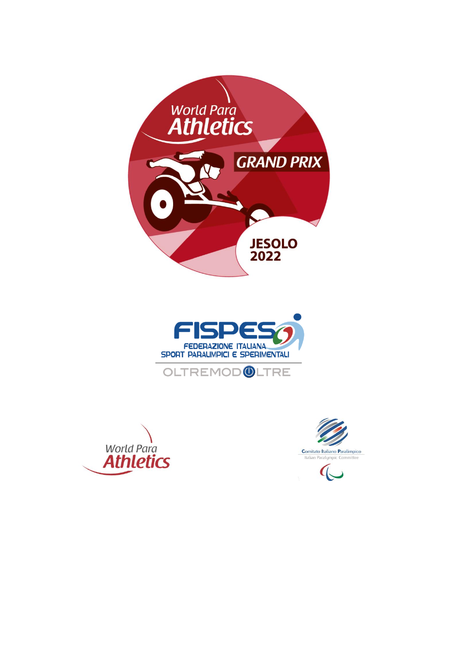







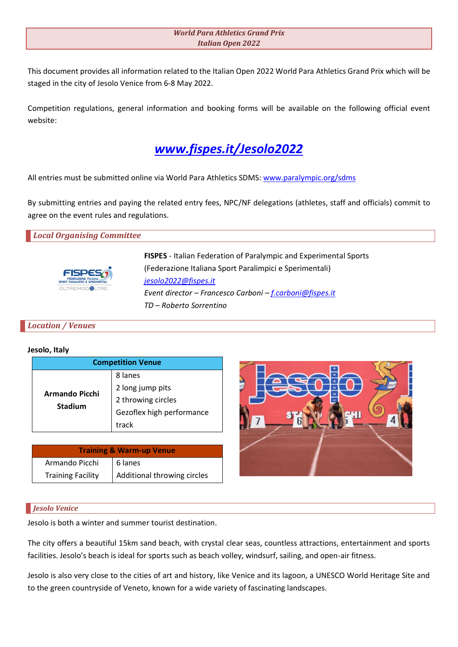# *World Para Athletics Grand Prix Italian Open 2022*

This document provides all information related to the Italian Open 2022 World Para Athletics Grand Prix which will be staged in the city of Jesolo Venice from 6-8 May 2022.

Competition regulations, general information and booking forms will be available on the following official event website:



All entries must be submitted online via World Para Athletics SDMS: [www.paralympic.org/sdms](http://www.paralympic.org/sdms)

By submitting entries and paying the related entry fees, NPC/NF delegations (athletes, staff and officials) commit to agree on the event rules and regulations.

### *Local Organising Committee*



**FISPES** - Italian Federation of Paralympic and Experimental Sports (Federazione Italiana Sport Paralimpici e Sperimentali) *[jesolo2022@fispes.it](mailto:jesolo2022@fispes.it) Event director – Francesco Carboni – [f.carboni@fispes.it](mailto:f.carboni@fispes.it) TD – Roberto Sorrentino*

### *Location / Venues*

#### **Jesolo, Italy**

| <b>Competition Venue</b>                |                           |  |  |
|-----------------------------------------|---------------------------|--|--|
| <b>Armando Picchi</b><br><b>Stadium</b> | 8 lanes                   |  |  |
|                                         | 2 long jump pits          |  |  |
|                                         | 2 throwing circles        |  |  |
|                                         | Gezoflex high performance |  |  |
|                                         | track                     |  |  |

| <b>Training &amp; Warm-up Venue</b> |                             |  |  |
|-------------------------------------|-----------------------------|--|--|
| Armando Picchi                      | 6 lanes                     |  |  |
| <b>Training Facility</b>            | Additional throwing circles |  |  |



### *Jesolo Venice*

Jesolo is both a winter and summer tourist destination.

The city offers a beautiful 15km sand beach, with crystal clear seas, countless attractions, entertainment and sports facilities. Jesolo's beach is ideal for sports such as beach volley, windsurf, sailing, and open-air fitness.

Jesolo is also very close to the cities of art and history, like Venice and its lagoon, a UNESCO World Heritage Site and to the green countryside of Veneto, known for a wide variety of fascinating landscapes.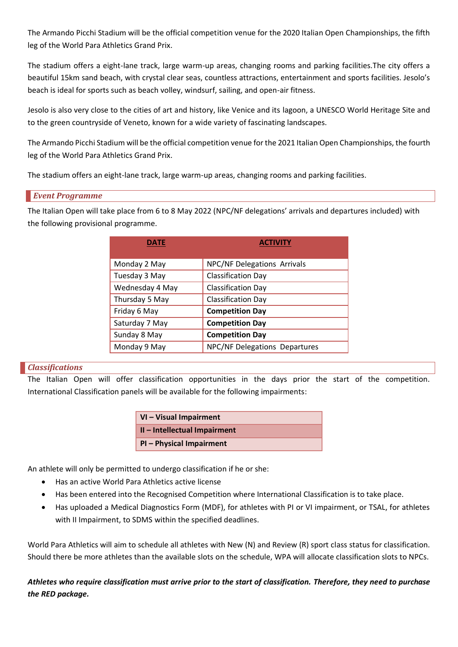The Armando Picchi Stadium will be the official competition venue for the 2020 Italian Open Championships, the fifth leg of the World Para Athletics Grand Prix.

The stadium offers a eight-lane track, large warm-up areas, changing rooms and parking facilities.The city offers a beautiful 15km sand beach, with crystal clear seas, countless attractions, entertainment and sports facilities. Jesolo's beach is ideal for sports such as beach volley, windsurf, sailing, and open-air fitness.

Jesolo is also very close to the cities of art and history, like Venice and its lagoon, a UNESCO World Heritage Site and to the green countryside of Veneto, known for a wide variety of fascinating landscapes.

The Armando Picchi Stadium will be the official competition venue for the 2021 Italian Open Championships, the fourth leg of the World Para Athletics Grand Prix.

The stadium offers an eight-lane track, large warm-up areas, changing rooms and parking facilities.

# *Event Programme*

The Italian Open will take place from 6 to 8 May 2022 (NPC/NF delegations' arrivals and departures included) with the following provisional programme.

| DATE            | <b>ACTIVITY</b>                    |  |
|-----------------|------------------------------------|--|
|                 |                                    |  |
| Monday 2 May    | <b>NPC/NF Delegations Arrivals</b> |  |
| Tuesday 3 May   | <b>Classification Day</b>          |  |
| Wednesday 4 May | <b>Classification Day</b>          |  |
| Thursday 5 May  | <b>Classification Day</b>          |  |
| Friday 6 May    | <b>Competition Day</b>             |  |
| Saturday 7 May  | <b>Competition Day</b>             |  |
| Sunday 8 May    | <b>Competition Day</b>             |  |
| Monday 9 May    | NPC/NF Delegations Departures      |  |

# *Classifications*

The Italian Open will offer classification opportunities in the days prior the start of the competition. International Classification panels will be available for the following impairments:

| <b>VI-Visual Impairment</b>  |
|------------------------------|
| II - Intellectual Impairment |
| PI - Physical Impairment     |

An athlete will only be permitted to undergo classification if he or she:

- Has an active World Para Athletics active license
- Has been entered into the Recognised Competition where International Classification is to take place.
- Has uploaded a Medical Diagnostics Form (MDF), for athletes with PI or VI impairment, or TSAL, for athletes with II Impairment, to SDMS within the specified deadlines.

World Para Athletics will aim to schedule all athletes with New (N) and Review (R) sport class status for classification. Should there be more athletes than the available slots on the schedule, WPA will allocate classification slots to NPCs.

*Athletes who require classification must arrive prior to the start of classification. Therefore, they need to purchase the RED package.*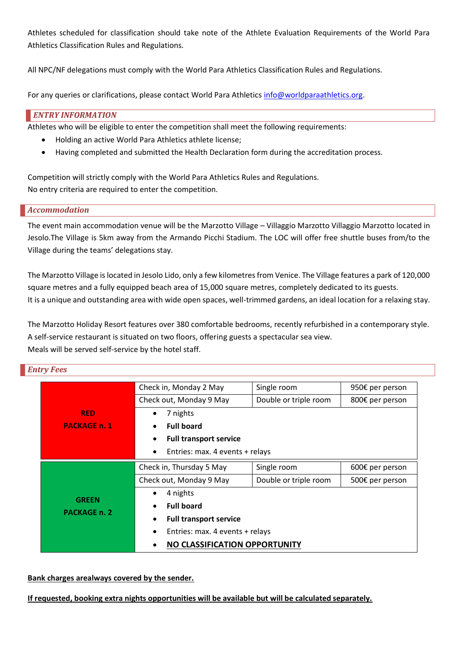Athletes scheduled for classification should take note of the Athlete Evaluation Requirements of the World Para Athletics Classification Rules and Regulations.

All NPC/NF delegations must comply with the World Para Athletics Classification Rules and Regulations.

For any queries or clarifications, please contact World Para Athletics [info@worldparaathletics.org.](mailto:info@worldparaathletics.org)

# *ENTRY INFORMATION*

Athletes who will be eligible to enter the competition shall meet the following requirements:

- Holding an active World Para Athletics athlete license;
- Having completed and submitted the Health Declaration form during the accreditation process.

Competition will strictly comply with the World Para Athletics Rules and Regulations. No entry criteria are required to enter the competition.

# *Accommodation*

The event main accommodation venue will be the Marzotto Village – Villaggio Marzotto Villaggio Marzotto located in Jesolo.The Village is 5km away from the Armando Picchi Stadium. The LOC will offer free shuttle buses from/to the Village during the teams' delegations stay.

The Marzotto Village is located in Jesolo Lido, only a few kilometres from Venice. The Village features a park of 120,000 square metres and a fully equipped beach area of 15,000 square metres, completely dedicated to its guests. It is a unique and outstanding area with wide open spaces, well-trimmed gardens, an ideal location for a relaxing stay.

The Marzotto Holiday Resort features over 380 comfortable bedrooms, recently refurbished in a contemporary style. A self-service restaurant is situated on two floors, offering guests a spectacular sea view. Meals will be served self-service by the hotel staff.

# *Entry Fees*

|                     | Check in, Monday 2 May                       | Single room                     | 950€ per person |  |
|---------------------|----------------------------------------------|---------------------------------|-----------------|--|
|                     | Check out, Monday 9 May                      | Double or triple room           | 800€ per person |  |
| <b>RED</b>          | 7 nights                                     |                                 |                 |  |
| <b>PACKAGE n. 1</b> | <b>Full board</b>                            |                                 |                 |  |
|                     | <b>Full transport service</b>                |                                 |                 |  |
|                     | Entries: max. 4 events + relays<br>$\bullet$ |                                 |                 |  |
|                     | Check in, Thursday 5 May                     | Single room                     | 600€ per person |  |
|                     | Check out, Monday 9 May                      | Double or triple room           | 500€ per person |  |
| <b>GREEN</b>        | 4 nights                                     |                                 |                 |  |
| <b>PACKAGE n. 2</b> | <b>Full board</b>                            |                                 |                 |  |
|                     | <b>Full transport service</b><br>$\bullet$   |                                 |                 |  |
|                     | $\bullet$                                    | Entries: max. 4 events + relays |                 |  |
|                     |                                              | NO CLASSIFICATION OPPORTUNITY   |                 |  |

### **Bank charges arealways covered by the sender.**

**If requested, booking extra nights opportunities will be available but will be calculated separately.**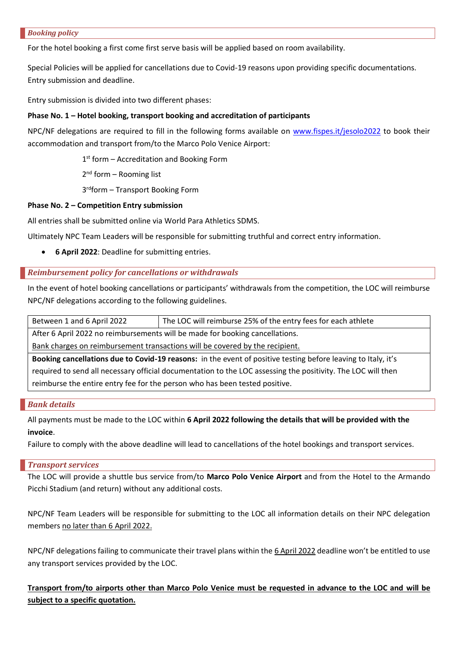#### *Booking policy*

For the hotel booking a first come first serve basis will be applied based on room availability.

Special Policies will be applied for cancellations due to Covid-19 reasons upon providing specific documentations. Entry submission and deadline.

Entry submission is divided into two different phases:

### **Phase No. 1 – Hotel booking, transport booking and accreditation of participants**

NPC/NF delegations are required to fill in the following forms available on [www.fispes.it/jesolo2022](http://www.fispes.it/jesolo2022) to book their accommodation and transport from/to the Marco Polo Venice Airport:

1<sup>st</sup> form - Accreditation and Booking Form

2<sup>nd</sup> form - Rooming list

3 rdform – Transport Booking Form

### **Phase No. 2 – Competition Entry submission**

All entries shall be submitted online via World Para Athletics SDMS.

Ultimately NPC Team Leaders will be responsible for submitting truthful and correct entry information.

• **6 April 2022**: Deadline for submitting entries.

### *Reimbursement policy for cancellations or withdrawals*

In the event of hotel booking cancellations or participants' withdrawals from the competition, the LOC will reimburse NPC/NF delegations according to the following guidelines.

Between 1 and 6 April 2022 The LOC will reimburse 25% of the entry fees for each athlete

After 6 April 2022 no reimbursements will be made for booking cancellations.

Bank charges on reimbursement transactions will be covered by the recipient.

**Booking cancellations due to Covid-19 reasons:** in the event of positive testing before leaving to Italy, it's required to send all necessary official documentation to the LOC assessing the positivity. The LOC will then reimburse the entire entry fee for the person who has been tested positive.

### *Bank details*

All payments must be made to the LOC within **6 April 2022 following the details that will be provided with the invoice**.

Failure to comply with the above deadline will lead to cancellations of the hotel bookings and transport services.

### *Transport services*

The LOC will provide a shuttle bus service from/to **Marco Polo Venice Airport** and from the Hotel to the Armando Picchi Stadium (and return) without any additional costs.

NPC/NF Team Leaders will be responsible for submitting to the LOC all information details on their NPC delegation members no later than 6 April 2022.

NPC/NF delegations failing to communicate their travel plans within the 6 April 2022 deadline won't be entitled to use any transport services provided by the LOC.

**Transport from/to airports other than Marco Polo Venice must be requested in advance to the LOC and will be subject to a specific quotation.**